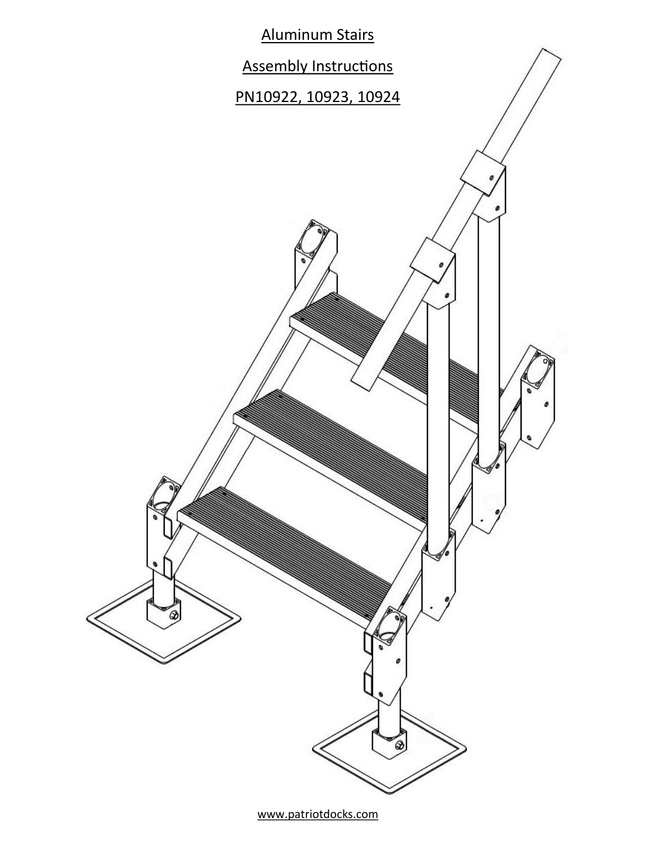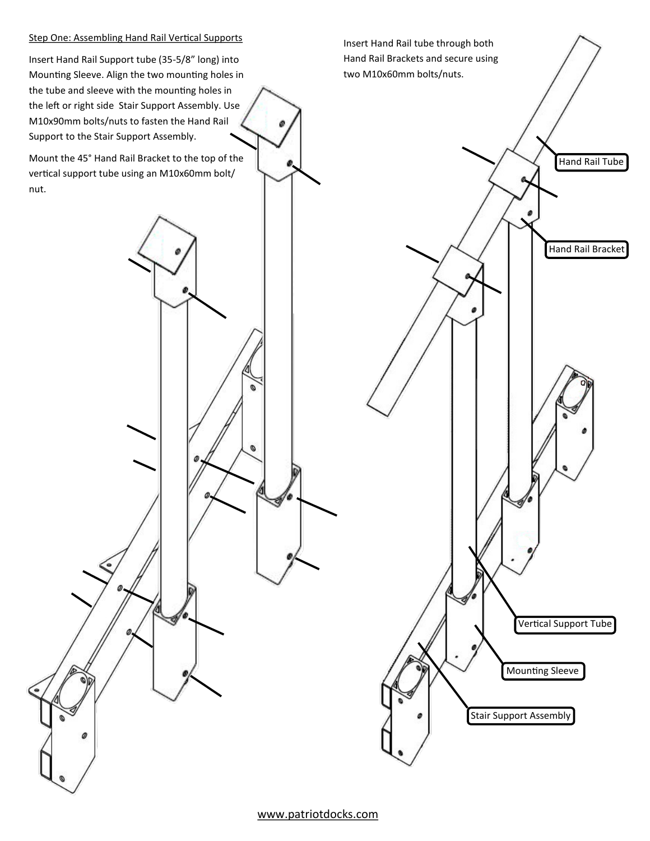## Step One: Assembling Hand Rail Vertical Supports

Insert Hand Rail Support tube (35-5/8" long) into Mounting Sleeve. Align the two mounting holes in the tube and sleeve with the mounting holes in the left or right side Stair Support Assembly. Use M10x90mm bolts/nuts to fasten the Hand Rail Support to the Stair Support Assembly.

Mount the 45° Hand Rail Bracket to the top of the vertical support tube using an M10x60mm bolt/ nut.



www.patriotdocks.com

ø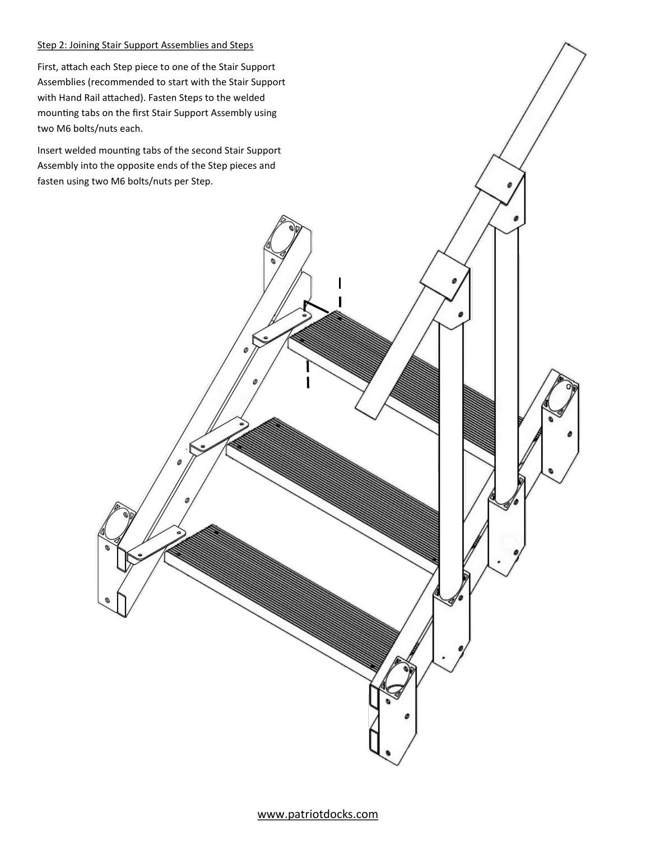## Step 2: Joining Stair Support Assemblies and Steps

First, attach each Step piece to one of the Stair Support Assemblies (recommended to start with the Stair Support with Hand Rail attached). Fasten Steps to the welded mounting tabs on the first Stair Support Assembly using two M6 bolts/nuts each.

Insert welded mounting tabs of the second Stair Support Assembly into the opposite ends of the Step pieces and fasten using two M6 bolts/nuts per Step.

www.patriotdocks.com

I

 $\overline{a}$ 

ø